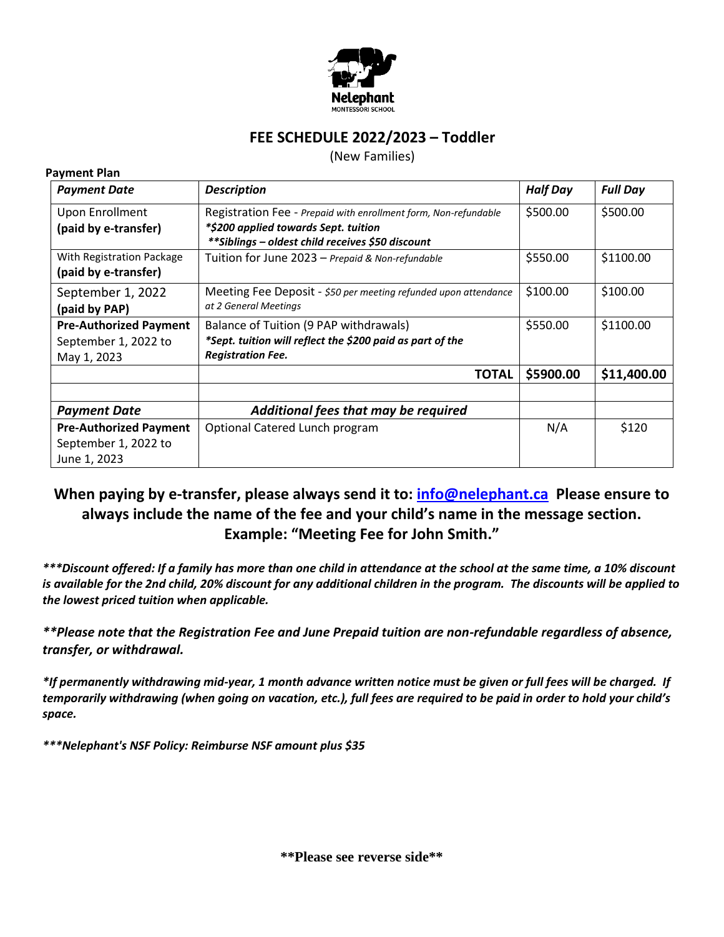

## **FEE SCHEDULE 2022/2023 – Toddler**

(New Families)

**Payment Plan**

| <b>Payment Date</b>                                                   | <b>Description</b>                                                                                                                                           | <b>Half Day</b> | <b>Full Day</b> |
|-----------------------------------------------------------------------|--------------------------------------------------------------------------------------------------------------------------------------------------------------|-----------------|-----------------|
| <b>Upon Enrollment</b><br>(paid by e-transfer)                        | Registration Fee - Prepaid with enrollment form, Non-refundable<br>*\$200 applied towards Sept. tuition<br>** Siblings - oldest child receives \$50 discount | \$500.00        | \$500.00        |
| With Registration Package<br>(paid by e-transfer)                     | Tuition for June 2023 - Prepaid & Non-refundable                                                                                                             | \$550.00        | \$1100.00       |
| September 1, 2022<br>(paid by PAP)                                    | Meeting Fee Deposit - \$50 per meeting refunded upon attendance<br>at 2 General Meetings                                                                     | \$100.00        | \$100.00        |
| <b>Pre-Authorized Payment</b><br>September 1, 2022 to<br>May 1, 2023  | Balance of Tuition (9 PAP withdrawals)<br>*Sept. tuition will reflect the \$200 paid as part of the<br><b>Registration Fee.</b>                              | \$550.00        | \$1100.00       |
|                                                                       | <b>TOTAL</b>                                                                                                                                                 | \$5900.00       | \$11,400.00     |
| <b>Payment Date</b>                                                   | Additional fees that may be required                                                                                                                         |                 |                 |
| <b>Pre-Authorized Payment</b><br>September 1, 2022 to<br>June 1, 2023 | Optional Catered Lunch program                                                                                                                               | N/A             | \$120           |

## **When paying by e-transfer, please always send it to: [info@nelephant.ca](mailto:info@nelephant.ca) Please ensure to always include the name of the fee and your child's name in the message section. Example: "Meeting Fee for John Smith."**

*\*\*\*Discount offered: If a family has more than one child in attendance at the school at the same time, a 10% discount is available for the 2nd child, 20% discount for any additional children in the program. The discounts will be applied to the lowest priced tuition when applicable.* 

*\*\*Please note that the Registration Fee and June Prepaid tuition are non-refundable regardless of absence, transfer, or withdrawal.* 

*\*If permanently withdrawing mid-year, 1 month advance written notice must be given or full fees will be charged. If temporarily withdrawing (when going on vacation, etc.), full fees are required to be paid in order to hold your child's space.* 

*\*\*\*Nelephant's NSF Policy: Reimburse NSF amount plus \$35*

**\*\*Please see reverse side\*\***